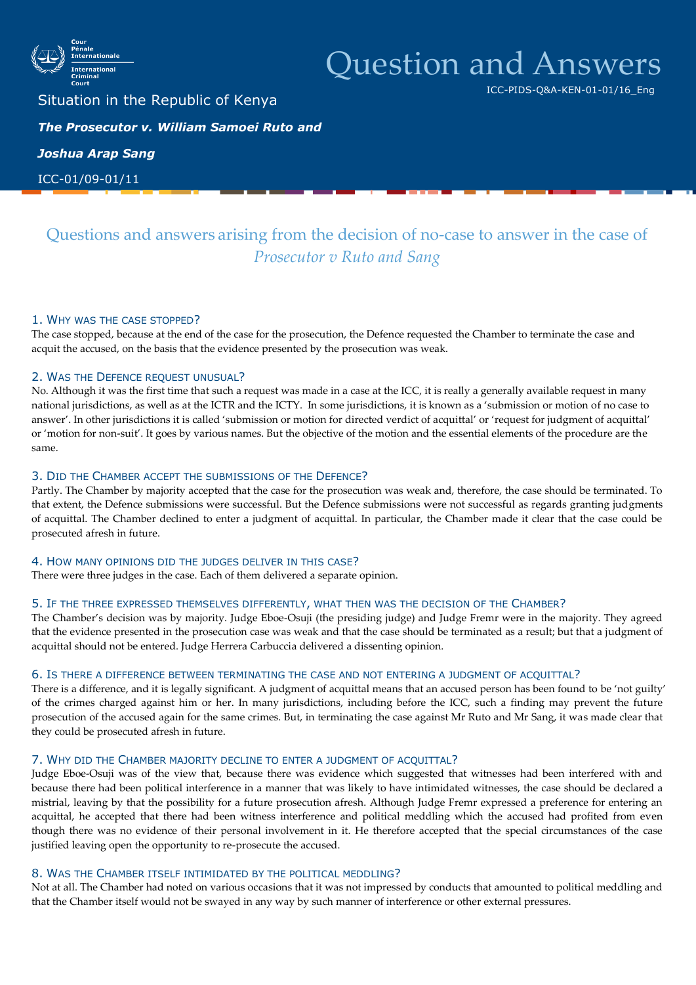

# Question and Answers

ICC-PIDS-Q&A-KEN-01-01/16\_Eng

Situation in the Republic of Kenya *The Prosecutor v. William Samoei Ruto and* 

*Joshua Arap Sang*

ICC-01/09-01/11

# Questions and answers arising from the decision of no-case to answer in the case of *Prosecutor v Ruto and Sang*

# 1. WHY WAS THE CASE STOPPED?

The case stopped, because at the end of the case for the prosecution, the Defence requested the Chamber to terminate the case and acquit the accused, on the basis that the evidence presented by the prosecution was weak.

# 2. WAS THE DEFENCE REQUEST UNUSUAL?

No. Although it was the first time that such a request was made in a case at the ICC, it is really a generally available request in many national jurisdictions, as well as at the ICTR and the ICTY. In some jurisdictions, it is known as a 'submission or motion of no case to answer'. In other jurisdictions it is called 'submission or motion for directed verdict of acquittal' or 'request for judgment of acquittal' or 'motion for non-suit'. It goes by various names. But the objective of the motion and the essential elements of the procedure are the same.

# 3. DID THE CHAMBER ACCEPT THE SUBMISSIONS OF THE DEFENCE?

Partly. The Chamber by majority accepted that the case for the prosecution was weak and, therefore, the case should be terminated. To that extent, the Defence submissions were successful. But the Defence submissions were not successful as regards granting judgments of acquittal. The Chamber declined to enter a judgment of acquittal. In particular, the Chamber made it clear that the case could be prosecuted afresh in future.

# 4. HOW MANY OPINIONS DID THE JUDGES DELIVER IN THIS CASE?

There were three judges in the case. Each of them delivered a separate opinion.

# 5. IF THE THREE EXPRESSED THEMSELVES DIFFERENTLY, WHAT THEN WAS THE DECISION OF THE CHAMBER?

The Chamber's decision was by majority. Judge Eboe-Osuji (the presiding judge) and Judge Fremr were in the majority. They agreed that the evidence presented in the prosecution case was weak and that the case should be terminated as a result; but that a judgment of acquittal should not be entered. Judge Herrera Carbuccia delivered a dissenting opinion.

# 6. IS THERE A DIFFERENCE BETWEEN TERMINATING THE CASE AND NOT ENTERING A JUDGMENT OF ACQUITTAL?

There is a difference, and it is legally significant. A judgment of acquittal means that an accused person has been found to be 'not guilty' of the crimes charged against him or her. In many jurisdictions, including before the ICC, such a finding may prevent the future prosecution of the accused again for the same crimes. But, in terminating the case against Mr Ruto and Mr Sang, it was made clear that they could be prosecuted afresh in future.

# 7. WHY DID THE CHAMBER MAJORITY DECLINE TO ENTER A JUDGMENT OF ACQUITTAL?

Judge Eboe-Osuji was of the view that, because there was evidence which suggested that witnesses had been interfered with and because there had been political interference in a manner that was likely to have intimidated witnesses, the case should be declared a mistrial, leaving by that the possibility for a future prosecution afresh. Although Judge Fremr expressed a preference for entering an acquittal, he accepted that there had been witness interference and political meddling which the accused had profited from even though there was no evidence of their personal involvement in it. He therefore accepted that the special circumstances of the case justified leaving open the opportunity to re-prosecute the accused.

# 8. WAS THE CHAMBER ITSELF INTIMIDATED BY THE POLITICAL MEDDLING?

Not at all. The Chamber had noted on various occasions that it was not impressed by conducts that amounted to political meddling and that the Chamber itself would not be swayed in any way by such manner of interference or other external pressures.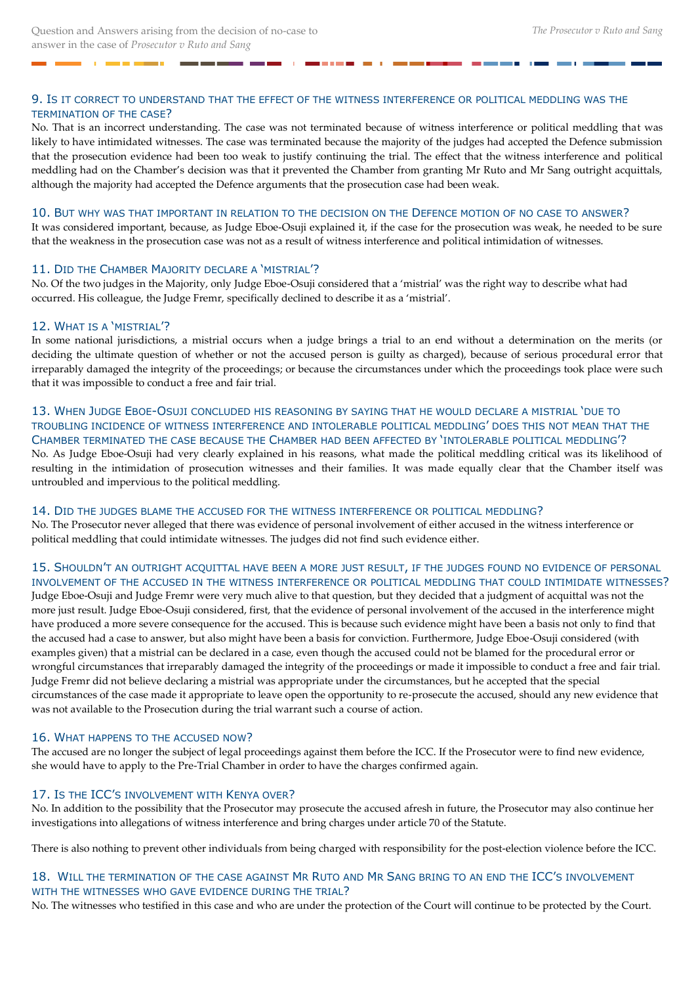# 9. IS IT CORRECT TO UNDERSTAND THAT THE EFFECT OF THE WITNESS INTERFERENCE OR POLITICAL MEDDLING WAS THE TERMINATION OF THE CASE?

**COL** 

No. That is an incorrect understanding. The case was not terminated because of witness interference or political meddling that was likely to have intimidated witnesses. The case was terminated because the majority of the judges had accepted the Defence submission that the prosecution evidence had been too weak to justify continuing the trial. The effect that the witness interference and political meddling had on the Chamber's decision was that it prevented the Chamber from granting Mr Ruto and Mr Sang outright acquittals, although the majority had accepted the Defence arguments that the prosecution case had been weak.

#### 10. BUT WHY WAS THAT IMPORTANT IN RELATION TO THE DECISION ON THE DEFENCE MOTION OF NO CASE TO ANSWER?

It was considered important, because, as Judge Eboe-Osuji explained it, if the case for the prosecution was weak, he needed to be sure that the weakness in the prosecution case was not as a result of witness interference and political intimidation of witnesses.

#### 11. DID THE CHAMBER MAJORITY DECLARE A 'MISTRIAL'?

No. Of the two judges in the Majority, only Judge Eboe-Osuji considered that a 'mistrial' was the right way to describe what had occurred. His colleague, the Judge Fremr, specifically declined to describe it as a 'mistrial'.

# 12. WHAT IS A 'MISTRIAL'?

In some national jurisdictions, a mistrial occurs when a judge brings a trial to an end without a determination on the merits (or deciding the ultimate question of whether or not the accused person is guilty as charged), because of serious procedural error that irreparably damaged the integrity of the proceedings; or because the circumstances under which the proceedings took place were such that it was impossible to conduct a free and fair trial.

# 13. WHEN JUDGE EBOE-OSUJI CONCLUDED HIS REASONING BY SAYING THAT HE WOULD DECLARE A MISTRIAL 'DUE TO TROUBLING INCIDENCE OF WITNESS INTERFERENCE AND INTOLERABLE POLITICAL MEDDLING' DOES THIS NOT MEAN THAT THE CHAMBER TERMINATED THE CASE BECAUSE THE CHAMBER HAD BEEN AFFECTED BY 'INTOLERABLE POLITICAL MEDDLING'? No. As Judge Eboe-Osuji had very clearly explained in his reasons, what made the political meddling critical was its likelihood of resulting in the intimidation of prosecution witnesses and their families. It was made equally clear that the Chamber itself was untroubled and impervious to the political meddling.

#### 14. DID THE JUDGES BLAME THE ACCUSED FOR THE WITNESS INTERFERENCE OR POLITICAL MEDDLING?

No. The Prosecutor never alleged that there was evidence of personal involvement of either accused in the witness interference or political meddling that could intimidate witnesses. The judges did not find such evidence either.

# 15. SHOULDN'T AN OUTRIGHT ACQUITTAL HAVE BEEN A MORE JUST RESULT, IF THE JUDGES FOUND NO EVIDENCE OF PERSONAL INVOLVEMENT OF THE ACCUSED IN THE WITNESS INTERFERENCE OR POLITICAL MEDDLING THAT COULD INTIMIDATE WITNESSES?

Judge Eboe-Osuji and Judge Fremr were very much alive to that question, but they decided that a judgment of acquittal was not the more just result. Judge Eboe-Osuji considered, first, that the evidence of personal involvement of the accused in the interference might have produced a more severe consequence for the accused. This is because such evidence might have been a basis not only to find that the accused had a case to answer, but also might have been a basis for conviction. Furthermore, Judge Eboe-Osuji considered (with examples given) that a mistrial can be declared in a case, even though the accused could not be blamed for the procedural error or wrongful circumstances that irreparably damaged the integrity of the proceedings or made it impossible to conduct a free and fair trial. Judge Fremr did not believe declaring a mistrial was appropriate under the circumstances, but he accepted that the special circumstances of the case made it appropriate to leave open the opportunity to re-prosecute the accused, should any new evidence that was not available to the Prosecution during the trial warrant such a course of action.

# 16. WHAT HAPPENS TO THE ACCUSED NOW?

The accused are no longer the subject of legal proceedings against them before the ICC. If the Prosecutor were to find new evidence, she would have to apply to the Pre-Trial Chamber in order to have the charges confirmed again.

# 17. IS THE ICC'S INVOLVEMENT WITH KENYA OVER?

No. In addition to the possibility that the Prosecutor may prosecute the accused afresh in future, the Prosecutor may also continue her investigations into allegations of witness interference and bring charges under article 70 of the Statute.

There is also nothing to prevent other individuals from being charged with responsibility for the post-election violence before the ICC.

# 18. WILL THE TERMINATION OF THE CASE AGAINST MR RUTO AND MR SANG BRING TO AN END THE ICC'S INVOLVEMENT WITH THE WITNESSES WHO GAVE EVIDENCE DURING THE TRIAL?

No. The witnesses who testified in this case and who are under the protection of the Court will continue to be protected by the Court.